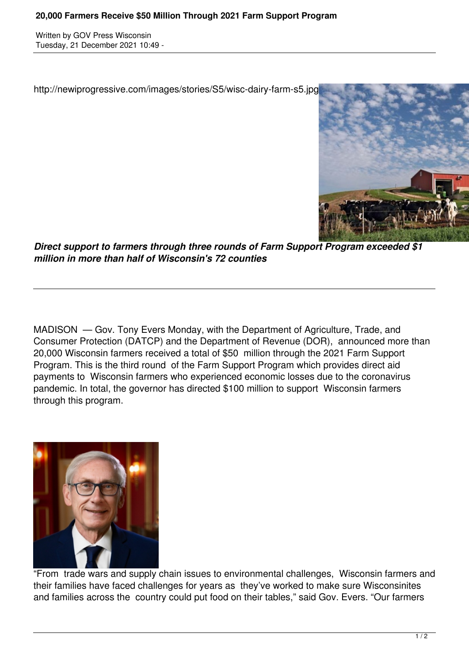Written by GOV Press Wisconsin Tuesday, 21 December 2021 10:49 -

http://newiprogressive.com/images/stories/S5/wisc-dairy-farm-s5.jpg



*Direct support to farmers through three rounds of Farm Support Program exceeded \$1 million in more than half of Wisconsin's 72 counties*

MADISON — Gov. Tony Evers Monday, with the Department of Agriculture, Trade, and Consumer Protection (DATCP) and the Department of Revenue (DOR), announced more than 20,000 Wisconsin farmers received a total of \$50 million through the 2021 Farm Support Program. This is the third round of the Farm Support Program which provides direct aid payments to Wisconsin farmers who experienced economic losses due to the coronavirus pandemic. In total, the governor has directed \$100 million to support Wisconsin farmers through this program.



"From trade wars and supply chain issues to environmental challenges, Wisconsin farmers and their families have faced challenges for years as they've worked to make sure Wisconsinites and families across the country could put food on their tables," said Gov. Evers. "Our farmers